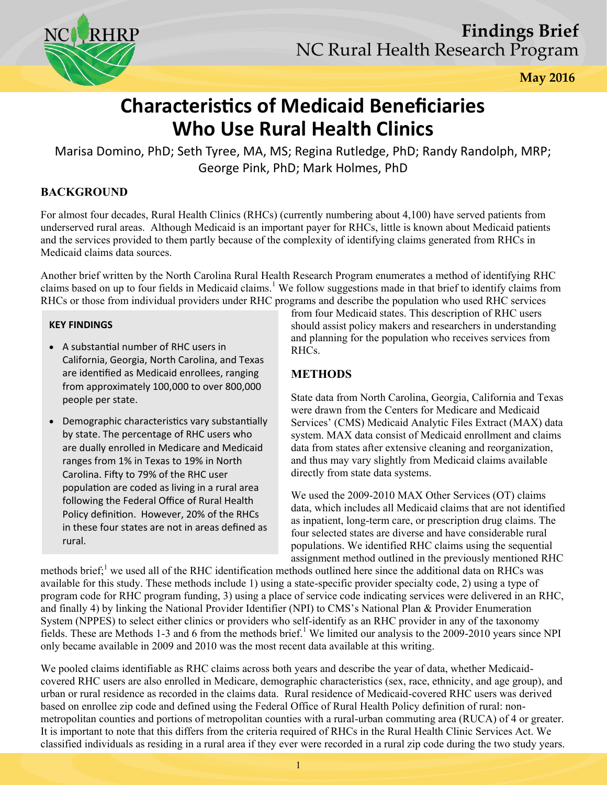

**May 2016** 

# **Characteristics of Medicaid Beneficiaries Who Use Rural Health Clinics**

Marisa Domino, PhD; Seth Tyree, MA, MS; Regina Rutledge, PhD; Randy Randolph, MRP; George Pink, PhD; Mark Holmes, PhD

## **BACKGROUND**

For almost four decades, Rural Health Clinics (RHCs) (currently numbering about 4,100) have served patients from underserved rural areas. Although Medicaid is an important payer for RHCs, little is known about Medicaid patients and the services provided to them partly because of the complexity of identifying claims generated from RHCs in Medicaid claims data sources.

Another brief written by the North Carolina Rural Health Research Program enumerates a method of identifying RHC claims based on up to four fields in Medicaid claims.<sup>1</sup> We follow suggestions made in that brief to identify claims from RHCs or those from individual providers under RHC programs and describe the population who used RHC services

#### **KEY FINDINGS**

- A substantial number of RHC users in California, Georgia, North Carolina, and Texas are identified as Medicaid enrollees, ranging from approximately 100,000 to over 800,000 people per state.
- Demographic characteristics vary substantially by state. The percentage of RHC users who are dually enrolled in Medicare and Medicaid ranges from 1% in Texas to 19% in North Carolina. Fifty to 79% of the RHC user population are coded as living in a rural area following the Federal Office of Rural Health Policy definition. However, 20% of the RHCs in these four states are not in areas defined as rural.

from four Medicaid states. This description of RHC users should assist policy makers and researchers in understanding and planning for the population who receives services from RHCs.

#### **METHODS**

State data from North Carolina, Georgia, California and Texas were drawn from the Centers for Medicare and Medicaid Services' (CMS) Medicaid Analytic Files Extract (MAX) data system. MAX data consist of Medicaid enrollment and claims data from states after extensive cleaning and reorganization, and thus may vary slightly from Medicaid claims available directly from state data systems.

We used the 2009-2010 MAX Other Services (OT) claims data, which includes all Medicaid claims that are not identified as inpatient, long-term care, or prescription drug claims. The four selected states are diverse and have considerable rural populations. We identified RHC claims using the sequential assignment method outlined in the previously mentioned RHC

methods brief;<sup>1</sup> we used all of the RHC identification methods outlined here since the additional data on RHCs was available for this study. These methods include 1) using a state-specific provider specialty code, 2) using a type of program code for RHC program funding, 3) using a place of service code indicating services were delivered in an RHC, and finally 4) by linking the National Provider Identifier (NPI) to CMS's National Plan & Provider Enumeration System (NPPES) to select either clinics or providers who self-identify as an RHC provider in any of the taxonomy fields. These are Methods 1-3 and 6 from the methods brief.<sup>1</sup> We limited our analysis to the 2009-2010 years since NPI only became available in 2009 and 2010 was the most recent data available at this writing.

We pooled claims identifiable as RHC claims across both years and describe the year of data, whether Medicaidcovered RHC users are also enrolled in Medicare, demographic characteristics (sex, race, ethnicity, and age group), and urban or rural residence as recorded in the claims data. Rural residence of Medicaid-covered RHC users was derived based on enrollee zip code and defined using the Federal Office of Rural Health Policy definition of rural: nonmetropolitan counties and portions of metropolitan counties with a rural-urban commuting area (RUCA) of 4 or greater. It is important to note that this differs from the criteria required of RHCs in the Rural Health Clinic Services Act. We classified individuals as residing in a rural area if they ever were recorded in a rural zip code during the two study years.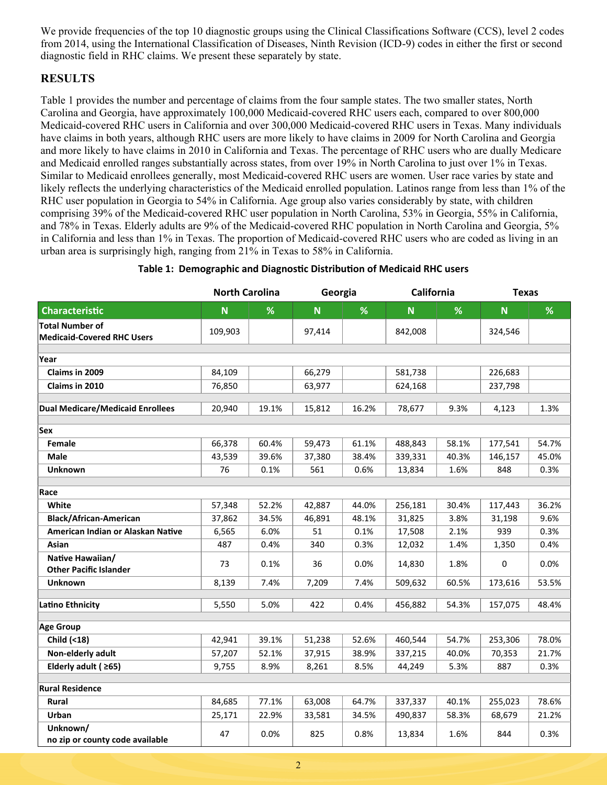We provide frequencies of the top 10 diagnostic groups using the Clinical Classifications Software (CCS), level 2 codes from 2014, using the International Classification of Diseases, Ninth Revision (ICD-9) codes in either the first or second diagnostic field in RHC claims. We present these separately by state.

### **RESULTS**

Table 1 provides the number and percentage of claims from the four sample states. The two smaller states, North Carolina and Georgia, have approximately 100,000 Medicaid-covered RHC users each, compared to over 800,000 Medicaid-covered RHC users in California and over 300,000 Medicaid-covered RHC users in Texas. Many individuals have claims in both years, although RHC users are more likely to have claims in 2009 for North Carolina and Georgia and more likely to have claims in 2010 in California and Texas. The percentage of RHC users who are dually Medicare and Medicaid enrolled ranges substantially across states, from over 19% in North Carolina to just over 1% in Texas. Similar to Medicaid enrollees generally, most Medicaid-covered RHC users are women. User race varies by state and likely reflects the underlying characteristics of the Medicaid enrolled population. Latinos range from less than 1% of the RHC user population in Georgia to 54% in California. Age group also varies considerably by state, with children comprising 39% of the Medicaid-covered RHC user population in North Carolina, 53% in Georgia, 55% in California, and 78% in Texas. Elderly adults are 9% of the Medicaid-covered RHC population in North Carolina and Georgia, 5% in California and less than 1% in Texas. The proportion of Medicaid-covered RHC users who are coded as living in an urban area is surprisingly high, ranging from 21% in Texas to 58% in California.

|                                                             | <b>North Carolina</b> |       | Georgia |       | California |       | <b>Texas</b> |       |  |  |
|-------------------------------------------------------------|-----------------------|-------|---------|-------|------------|-------|--------------|-------|--|--|
| <b>Characteristic</b>                                       | $\mathbf N$           | %     | N       | %     | N          | %     | N            | %     |  |  |
| <b>Total Number of</b><br><b>Medicaid-Covered RHC Users</b> | 109,903               |       | 97,414  |       | 842,008    |       | 324,546      |       |  |  |
| Year                                                        |                       |       |         |       |            |       |              |       |  |  |
| Claims in 2009                                              | 84,109                |       | 66,279  |       | 581,738    |       | 226,683      |       |  |  |
| Claims in 2010                                              | 76,850                |       | 63,977  |       | 624,168    |       | 237,798      |       |  |  |
| <b>Dual Medicare/Medicaid Enrollees</b>                     | 20,940                | 19.1% | 15,812  | 16.2% | 78,677     | 9.3%  | 4,123        | 1.3%  |  |  |
| <b>Sex</b>                                                  |                       |       |         |       |            |       |              |       |  |  |
| Female                                                      | 66,378                | 60.4% | 59,473  | 61.1% | 488,843    | 58.1% | 177,541      | 54.7% |  |  |
| <b>Male</b>                                                 | 43,539                | 39.6% | 37,380  | 38.4% | 339,331    | 40.3% | 146,157      | 45.0% |  |  |
| <b>Unknown</b>                                              | 76                    | 0.1%  | 561     | 0.6%  | 13,834     | 1.6%  | 848          | 0.3%  |  |  |
| Race                                                        |                       |       |         |       |            |       |              |       |  |  |
| White                                                       | 57,348                | 52.2% | 42,887  | 44.0% | 256,181    | 30.4% | 117,443      | 36.2% |  |  |
| <b>Black/African-American</b>                               | 37,862                | 34.5% | 46,891  | 48.1% | 31,825     | 3.8%  | 31,198       | 9.6%  |  |  |
| American Indian or Alaskan Native                           | 6,565                 | 6.0%  | 51      | 0.1%  | 17,508     | 2.1%  | 939          | 0.3%  |  |  |
| Asian                                                       | 487                   | 0.4%  | 340     | 0.3%  | 12,032     | 1.4%  | 1,350        | 0.4%  |  |  |
| Native Hawaiian/<br><b>Other Pacific Islander</b>           | 73                    | 0.1%  | 36      | 0.0%  | 14,830     | 1.8%  | $\mathbf 0$  | 0.0%  |  |  |
| <b>Unknown</b>                                              | 8,139                 | 7.4%  | 7,209   | 7.4%  | 509,632    | 60.5% | 173,616      | 53.5% |  |  |
| <b>Latino Ethnicity</b>                                     | 5,550                 | 5.0%  | 422     | 0.4%  | 456,882    | 54.3% | 157,075      | 48.4% |  |  |
| <b>Age Group</b>                                            |                       |       |         |       |            |       |              |       |  |  |
| Child (<18)                                                 | 42,941                | 39.1% | 51,238  | 52.6% | 460,544    | 54.7% | 253,306      | 78.0% |  |  |
| Non-elderly adult                                           | 57,207                | 52.1% | 37,915  | 38.9% | 337,215    | 40.0% | 70,353       | 21.7% |  |  |
| Elderly adult ( $\geq 65$ )                                 | 9,755                 | 8.9%  | 8,261   | 8.5%  | 44,249     | 5.3%  | 887          | 0.3%  |  |  |
| <b>Rural Residence</b>                                      |                       |       |         |       |            |       |              |       |  |  |
| Rural                                                       | 84,685                | 77.1% | 63,008  | 64.7% | 337,337    | 40.1% | 255,023      | 78.6% |  |  |
| Urban                                                       | 25,171                | 22.9% | 33,581  | 34.5% | 490,837    | 58.3% | 68,679       | 21.2% |  |  |
| Unknown/<br>no zip or county code available                 | 47                    | 0.0%  | 825     | 0.8%  | 13,834     | 1.6%  | 844          | 0.3%  |  |  |

#### **Table 1: Demographic and Diagnostic Distribution of Medicaid RHC users**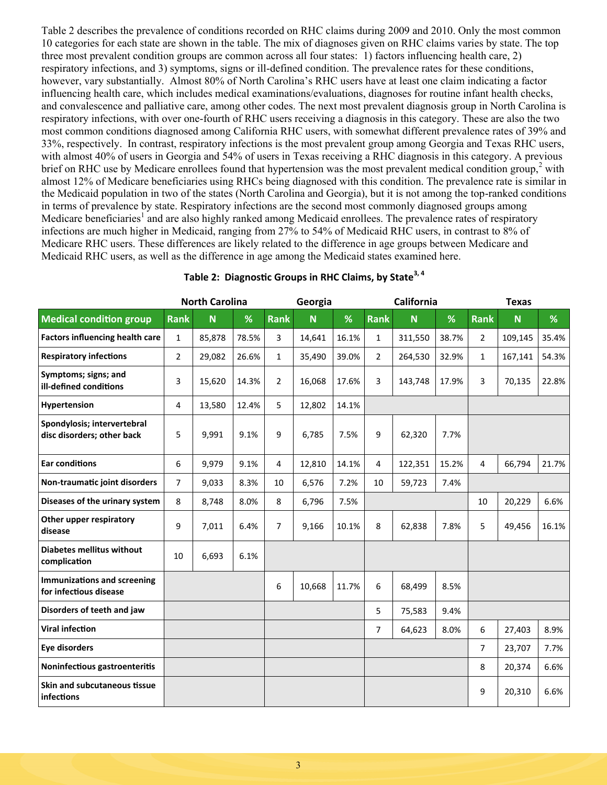Table 2 describes the prevalence of conditions recorded on RHC claims during 2009 and 2010. Only the most common 10 categories for each state are shown in the table. The mix of diagnoses given on RHC claims varies by state. The top three most prevalent condition groups are common across all four states: 1) factors influencing health care, 2) respiratory infections, and 3) symptoms, signs or ill-defined condition. The prevalence rates for these conditions, however, vary substantially. Almost 80% of North Carolina's RHC users have at least one claim indicating a factor influencing health care, which includes medical examinations/evaluations, diagnoses for routine infant health checks, and convalescence and palliative care, among other codes. The next most prevalent diagnosis group in North Carolina is respiratory infections, with over one-fourth of RHC users receiving a diagnosis in this category. These are also the two most common conditions diagnosed among California RHC users, with somewhat different prevalence rates of 39% and 33%, respectively. In contrast, respiratory infections is the most prevalent group among Georgia and Texas RHC users, with almost 40% of users in Georgia and 54% of users in Texas receiving a RHC diagnosis in this category. A previous brief on RHC use by Medicare enrollees found that hypertension was the most prevalent medical condition group, $2$  with almost 12% of Medicare beneficiaries using RHCs being diagnosed with this condition. The prevalence rate is similar in the Medicaid population in two of the states (North Carolina and Georgia), but it is not among the top-ranked conditions in terms of prevalence by state. Respiratory infections are the second most commonly diagnosed groups among Medicare beneficiaries<sup>1</sup> and are also highly ranked among Medicaid enrollees. The prevalence rates of respiratory infections are much higher in Medicaid, ranging from 27% to 54% of Medicaid RHC users, in contrast to 8% of Medicare RHC users. These differences are likely related to the difference in age groups between Medicare and Medicaid RHC users, as well as the difference in age among the Medicaid states examined here.

|                                                              | <b>North Carolina</b> |        | Georgia |                |        | California |                |         | <b>Texas</b> |              |         |       |
|--------------------------------------------------------------|-----------------------|--------|---------|----------------|--------|------------|----------------|---------|--------------|--------------|---------|-------|
| <b>Medical condition group</b>                               | <b>Rank</b>           | N      | %       | <b>Rank</b>    | N      | %          | <b>Rank</b>    | N       | %            | <b>Rank</b>  | N       | %     |
| <b>Factors influencing health care</b>                       | $\mathbf{1}$          | 85,878 | 78.5%   | 3              | 14,641 | 16.1%      | $\mathbf{1}$   | 311,550 | 38.7%        | 2            | 109,145 | 35.4% |
| <b>Respiratory infections</b>                                | $\overline{2}$        | 29,082 | 26.6%   | $\mathbf{1}$   | 35,490 | 39.0%      | $\overline{2}$ | 264,530 | 32.9%        | $\mathbf{1}$ | 167,141 | 54.3% |
| Symptoms; signs; and<br>ill-defined conditions               | 3                     | 15,620 | 14.3%   | $\overline{2}$ | 16,068 | 17.6%      | 3              | 143,748 | 17.9%        | 3            | 70,135  | 22.8% |
| Hypertension                                                 | 4                     | 13,580 | 12.4%   | 5              | 12,802 | 14.1%      |                |         |              |              |         |       |
| Spondylosis; intervertebral<br>disc disorders; other back    | 5                     | 9,991  | 9.1%    | 9              | 6,785  | 7.5%       | 9              | 62,320  | 7.7%         |              |         |       |
| <b>Ear conditions</b>                                        | 6                     | 9,979  | 9.1%    | 4              | 12,810 | 14.1%      | $\overline{4}$ | 122,351 | 15.2%        | 4            | 66,794  | 21.7% |
| Non-traumatic joint disorders                                | $\overline{7}$        | 9,033  | 8.3%    | 10             | 6,576  | 7.2%       | 10             | 59,723  | 7.4%         |              |         |       |
| Diseases of the urinary system                               | 8                     | 8,748  | 8.0%    | 8              | 6,796  | 7.5%       |                |         |              | 10           | 20,229  | 6.6%  |
| Other upper respiratory<br>disease                           | 9                     | 7,011  | 6.4%    | 7              | 9,166  | 10.1%      | 8              | 62,838  | 7.8%         | 5            | 49,456  | 16.1% |
| <b>Diabetes mellitus without</b><br>complication             | 10                    | 6,693  | 6.1%    |                |        |            |                |         |              |              |         |       |
| <b>Immunizations and screening</b><br>for infectious disease |                       |        |         | 6              | 10,668 | 11.7%      | 6              | 68,499  | 8.5%         |              |         |       |
| Disorders of teeth and jaw                                   |                       |        |         |                |        |            | 5              | 75,583  | 9.4%         |              |         |       |
| <b>Viral infection</b>                                       |                       |        |         |                |        |            | 7              | 64,623  | 8.0%         | 6            | 27,403  | 8.9%  |
| <b>Eye disorders</b>                                         |                       |        |         |                |        |            |                |         |              | 7            | 23,707  | 7.7%  |
| Noninfectious gastroenteritis                                |                       |        |         |                |        |            |                |         |              | 8            | 20,374  | 6.6%  |
| Skin and subcutaneous tissue<br>infections                   |                       |        |         |                |        |            |                |         |              | 9            | 20,310  | 6.6%  |

# **Table 2: Diagnostic Groups in RHC Claims, by State3, 4**